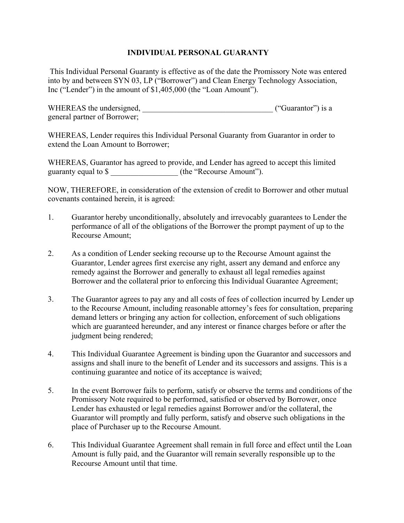## **INDIVIDUAL PERSONAL GUARANTY**

 This Individual Personal Guaranty is effective as of the date the Promissory Note was entered into by and between SYN 03, LP ("Borrower") and Clean Energy Technology Association, Inc ("Lender") in the amount of \$1,405,000 (the "Loan Amount").

WHEREAS the undersigned, where  $($ "Guarantor") is a general partner of Borrower;

WHEREAS, Lender requires this Individual Personal Guaranty from Guarantor in order to extend the Loan Amount to Borrower;

WHEREAS, Guarantor has agreed to provide, and Lender has agreed to accept this limited guaranty equal to \$ \_\_\_\_\_\_\_\_\_\_\_\_\_\_\_\_\_ (the "Recourse Amount").

NOW, THEREFORE, in consideration of the extension of credit to Borrower and other mutual covenants contained herein, it is agreed:

- 1. Guarantor hereby unconditionally, absolutely and irrevocably guarantees to Lender the performance of all of the obligations of the Borrower the prompt payment of up to the Recourse Amount;
- 2. As a condition of Lender seeking recourse up to the Recourse Amount against the Guarantor, Lender agrees first exercise any right, assert any demand and enforce any remedy against the Borrower and generally to exhaust all legal remedies against Borrower and the collateral prior to enforcing this Individual Guarantee Agreement;
- 3. The Guarantor agrees to pay any and all costs of fees of collection incurred by Lender up to the Recourse Amount, including reasonable attorney's fees for consultation, preparing demand letters or bringing any action for collection, enforcement of such obligations which are guaranteed hereunder, and any interest or finance charges before or after the judgment being rendered;
- 4. This Individual Guarantee Agreement is binding upon the Guarantor and successors and assigns and shall inure to the benefit of Lender and its successors and assigns. This is a continuing guarantee and notice of its acceptance is waived;
- 5. In the event Borrower fails to perform, satisfy or observe the terms and conditions of the Promissory Note required to be performed, satisfied or observed by Borrower, once Lender has exhausted or legal remedies against Borrower and/or the collateral, the Guarantor will promptly and fully perform, satisfy and observe such obligations in the place of Purchaser up to the Recourse Amount.
- 6. This Individual Guarantee Agreement shall remain in full force and effect until the Loan Amount is fully paid, and the Guarantor will remain severally responsible up to the Recourse Amount until that time.